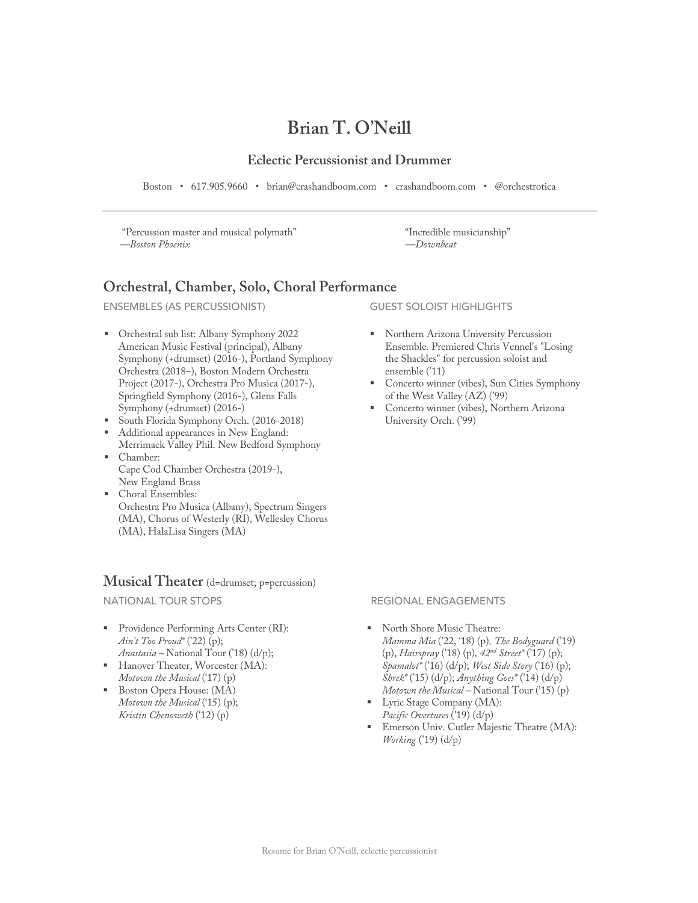# **Brian T. O'Neill**

### **Eclectic Percussionist and Drummer**

Boston • 617.905.9660 • brian@crashandboom.com • crashandboom.com • @orchestrotica

"Percussion master and musical polymath" *—Boston Phoenix*

"Incredible musicianship" *—Downbeat*

### **Orchestral, Chamber, Solo, Choral Performance**

ENSEMBLES (AS PERCUSSIONIST)

- § Orchestral sub list: Albany Symphony 2022 American Music Festival (principal), Albany Symphony (+drumset) (2016-), Portland Symphony Orchestra (2018–), Boston Modern Orchestra Project (2017-), Orchestra Pro Musica (2017-), Springfield Symphony (2016-), Glens Falls Symphony (+drumset) (2016-)
- § South Florida Symphony Orch. (2016-2018)
- Additional appearances in New England: Merrimack Valley Phil. New Bedford Symphony
- § Chamber: Cape Cod Chamber Orchestra (2019-), New England Brass
- § Choral Ensembles: Orchestra Pro Musica (Albany), Spectrum Singers (MA), Chorus of Westerly (RI), Wellesley Chorus (MA), HalaLisa Singers (MA)

### **Musical Theater** (d=drumset; p=percussion)

NATIONAL TOUR STOPS

- Providence Performing Arts Center (RI): *Ain't Too Proud\** ('22) (p); *Anastasia –* National Tour ('18) (d/p);
- Hanover Theater, Worcester (MA): *Motown the Musical* ('17) (p)
- § Boston Opera House: (MA) *Motown the Musical* ('15) (p); *Kristin Chenoweth* ('12) (p)

GUEST SOLOIST HIGHLIGHTS

- § Northern Arizona University Percussion Ensemble. Premiered Chris Vennel's "Losing the Shackles" for percussion soloist and ensemble ('11)
- § Concerto winner (vibes), Sun Cities Symphony of the West Valley (AZ) ('99)
- § Concerto winner (vibes), Northern Arizona University Orch. ('99)

### REGIONAL ENGAGEMENTS

- North Shore Music Theatre: *Mamma Mia* ('22, '18) (p)*, The Bodyguard* ('19) (p), *Hairspray* ('18) (p)*, 42nd Street\** ('17) (p); *Spamalot\** ('16) (d/p); *West Side Story* ('16) (p); *Shrek\** ('15) (d/p); *Anything Goes\** ('14) (d/p) *Motown the Musical –* National Tour ('15) (p)
- Lyric Stage Company (MA): *Pacific Overtures* ('19) (d/p)
- § Emerson Univ. Cutler Majestic Theatre (MA): *Working* ('19) (d/p)